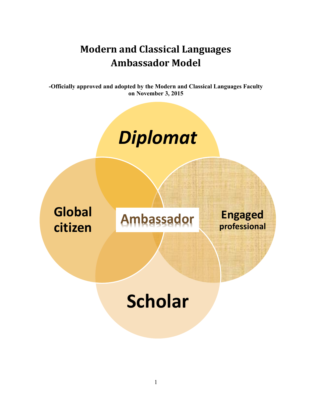# **Modern and Classical Languages Ambassador Model**

**-Officially approved and adopted by the Modern and Classical Languages Faculty on November 3, 2015**

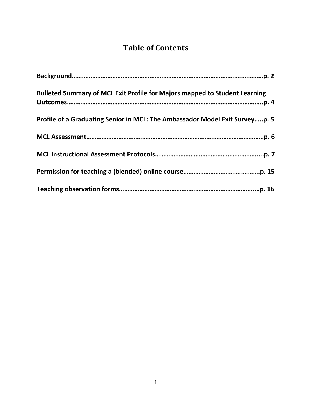### **Table of Contents**

| <b>Bulleted Summary of MCL Exit Profile for Majors mapped to Student Learning</b> |
|-----------------------------------------------------------------------------------|
| Profile of a Graduating Senior in MCL: The Ambassador Model Exit Surveyp. 5       |
|                                                                                   |
|                                                                                   |
|                                                                                   |
|                                                                                   |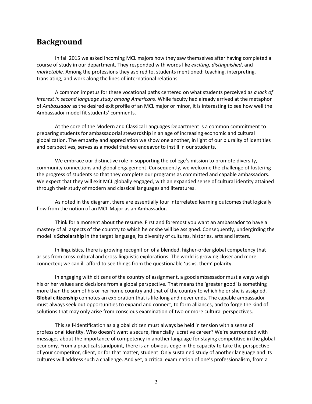### **Background**

In fall 2015 we asked incoming MCL majors how they saw themselves after having completed a course of study in our department. They responded with words like *exciting*, *distinguished*, and *marketable.* Among the professions they aspired to, students mentioned: teaching, interpreting, translating, and work along the lines of international relations.

A common impetus for these vocational paths centered on what students perceived as *a lack of interest in second language study among Americans*. While faculty had already arrived at the metaphor of *Ambassador* as the desired exit profile of an MCL major or minor, it is interesting to see how well the Ambassador model fit students' comments.

At the core of the Modern and Classical Languages Department is a common commitment to preparing students for ambassadorial stewardship in an age of increasing economic and cultural globalization. The empathy and appreciation we show one another, in light of our plurality of identities and perspectives, serves as a model that we endeavor to instill in our students.

We embrace our distinctive role in supporting the college's mission to promote diversity, community connections and global engagement. Consequently, we welcome the challenge of fostering the progress of students so that they complete our programs as committed and capable ambassadors. We expect that they will exit MCL globally engaged, with an expanded sense of cultural identity attained through their study of modern and classical languages and literatures.

As noted in the diagram, there are essentially four interrelated learning outcomes that logically flow from the notion of an MCL Major as an Ambassador.

Think for a moment about the resume. First and foremost you want an ambassador to have a mastery of all aspects of the country to which he or she will be assigned. Consequently, undergirding the model is **Scholarship** in the target language, its diversity of cultures, histories, arts and letters.

In linguistics, there is growing recognition of a blended, higher-order global competency that arises from cross-cultural and cross-linguistic explorations. The world is growing closer and more connected; we can ill-afford to see things from the questionable 'us vs. them' polarity.

In engaging with citizens of the country of assignment, a good ambassador must always weigh his or her values and decisions from a global perspective. That means the 'greater good' is something more than the sum of his or her home country and that of the country to which he or she is assigned. **Global citizenship** connotes an exploration that is life-long and never ends. The capable ambassador must always seek out opportunities to expand and connect, to form alliances, and to forge the kind of solutions that may only arise from conscious examination of two or more cultural perspectives.

This self-identification as a global citizen must always be held in tension with a sense of professional identity. Who doesn't want a secure, financially lucrative career? We're surrounded with messages about the importance of competency in another language for staying competitive in the global economy. From a practical standpoint, there is an obvious edge in the capacity to take the perspective of your competitor, client, or for that matter, student. Only sustained study of another language and its cultures will address such a challenge. And yet, a critical examination of one's professionalism, from a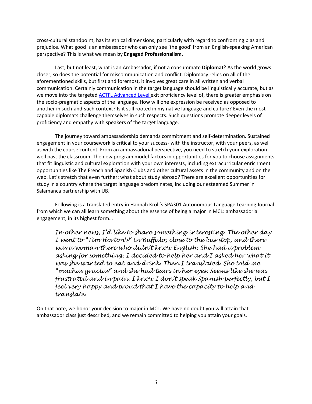cross-cultural standpoint, has its ethical dimensions, particularly with regard to confronting bias and prejudice. What good is an ambassador who can only see 'the good' from an English-speaking American perspective? This is what we mean by **Engaged Professionalism**.

Last, but not least, what is an Ambassador, if not a consummate **Diplomat**? As the world grows closer, so does the potential for miscommunication and conflict. Diplomacy relies on all of the aforementioned skills, but first and foremost, it involves great care in all written and verbal communication. Certainly communication in the target language should be linguistically accurate, but as we move into the targeted [ACTFL Advanced Level](http://www.actfl.org/publications/guidelines-and-manuals/actfl-proficiency-guidelines-2012/english/speaking#advanced) exit proficiency level of, there is greater emphasis on the socio-pragmatic aspects of the language. How will one expression be received as opposed to another in such-and-such context? Is it still rooted in my native language and culture? Even the most capable diplomats challenge themselves in such respects. Such questions promote deeper levels of proficiency and empathy with speakers of the target language.

The journey toward ambassadorship demands commitment and self-determination. Sustained engagement in your coursework is critical to your success- with the instructor, with your peers, as well as with the course content. From an ambassadorial perspective, you need to stretch your exploration well past the classroom. The new program model factors in opportunities for you to choose assignments that fit linguistic and cultural exploration with your own interests, including extracurricular enrichment opportunities like The French and Spanish Clubs and other cultural assets in the community and on the web. Let's stretch that even further: what about study abroad? There are excellent opportunities for study in a country where the target language predominates, including our esteemed Summer in Salamanca partnership with UB.

Following is a translated entry in Hannah Kroll's SPA301 Autonomous Language Learning Journal from which we can all learn something about the essence of being a major in MCL: ambassadorial engagement, in its highest form…

*In other news, I'd like to share something interesting. The other day I went to "Tim Horton's" in Buffalo, close to the bus stop, and there was a woman there who didn't know English. She had a problem asking for something. I decided to help her and I asked her what it was she wanted to eat and drink. Then I translated. She told me "muchas gracias" and she had tears in her eyes. Seems like she was frustrated and in pain. I know I don't speak Spanish perfectly, but I feel very happy and proud that I have the capacity to help and translate.*

On that note, we honor your decision to major in MCL. We have no doubt you will attain that ambassador class just described, and we remain committed to helping you attain your goals.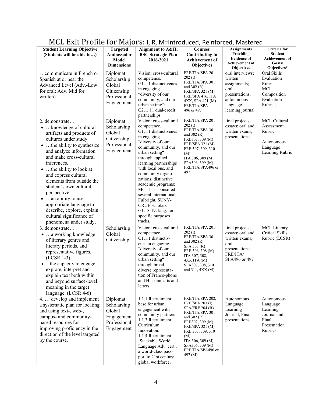| <u>MUD DAILT FUHIC IUL MAJULUI II, II, M-IIIII UUUCCU, KCIIIIUI CCU, MASICI CU</u>                                                                                                                                                                                                                                                                                                                                                                                    |                                                                                |                                                                                                                                                                                                                                                                                                                                                                                                                            |                                                                                                                                                                                                                                          |                                                                                                                     |                                                                                           |
|-----------------------------------------------------------------------------------------------------------------------------------------------------------------------------------------------------------------------------------------------------------------------------------------------------------------------------------------------------------------------------------------------------------------------------------------------------------------------|--------------------------------------------------------------------------------|----------------------------------------------------------------------------------------------------------------------------------------------------------------------------------------------------------------------------------------------------------------------------------------------------------------------------------------------------------------------------------------------------------------------------|------------------------------------------------------------------------------------------------------------------------------------------------------------------------------------------------------------------------------------------|---------------------------------------------------------------------------------------------------------------------|-------------------------------------------------------------------------------------------|
| <b>Student Learning Objective</b><br>(Students will be able to)                                                                                                                                                                                                                                                                                                                                                                                                       | <b>Targeted</b><br>Ambassador<br>Model<br><b>Dimensions</b>                    | Alignment to A&H,<br><b>BSC</b> Strategic Plan<br>2016-2021                                                                                                                                                                                                                                                                                                                                                                | <b>Courses</b><br><b>Contributing to</b><br><b>Achievement of</b><br><b>Objectives</b>                                                                                                                                                   | <b>Assignments</b><br>Providing<br><b>Evidence of</b><br><b>Achievement of</b><br><b>Objectives</b>                 | Criteria for<br><b>Student</b><br><b>Achievement of</b><br>Goals/<br>Objectives*          |
| 1. communicate in French or<br>Spanish at or near the<br>Advanced Level (Adv.-Low<br>for oral; Adv. Mid for<br>written)                                                                                                                                                                                                                                                                                                                                               | Diplomat<br>Scholarship<br>Global<br>Citizenship<br>Professional<br>Engagement | Vision: cross-cultural<br>competence.<br>G1.1.1 distinctivenes<br>in engaging<br>"diversity of our<br>community, and our<br>urban setting";<br>G2.1, 11 dual-credit<br>partnerships                                                                                                                                                                                                                                        | FRE/ITA/SPA 201-<br>$202 \text{ (I)}$<br>FRE/ITA/SPA 301<br>and $302(R)$<br>FRE/SPA 321 (M)<br>FRE/SPA 416, ITA<br>4XX, SPA 421 (M)<br>FRE/ITA/SPA<br>496 or 497                                                                         | oral interviews:<br>written<br>assignments;<br>oral<br>presentations,<br>autonomous<br>language<br>learning journal | Oral Skills<br>Evaluation<br>Rubric<br><b>MCL</b><br>Composition<br>Evaluation<br>Rubric; |
| 2. demonstrate<br>•  knowledge of cultural<br>artifacts and products of<br>cultures under study.<br>• the ability to synthesize<br>and analyze information<br>and make cross-cultural<br>inferences.<br>• the ability to look at<br>and express cultural<br>elements from outside the<br>student's own cultural<br>perspective.<br>• an ability to use<br>appropriate language to<br>describe, explore, explain<br>cultural significance of<br>phenomena under study. | Diplomat<br>Scholarship<br>Global<br>Citizenship<br>Professional<br>Engagement | Vision: cross-cultural<br>competence.<br>G1.1.1 distinctivenes<br>in engaging<br>"diversity of our<br>community, and our<br>urban setting"<br>through applied<br>learning partnerships<br>with local bus. and<br>community organi-<br>zations; distinctive<br>academic programs:<br>MCL has sponsored<br>several international<br>Fulbright, SUNY-<br>CRUE scholars<br>G1.18-19: lang. for<br>specific purposes<br>tracks, | FRE/ITA/SPA 201-<br>$202 \text{ (I)}$<br>FRE/ITA/SPA 301<br>and $302(R)$<br>FRE307, 309 (M)<br>FRE/SPA 321 (M)<br>FRE 307, 309, 310<br>(M)<br>ITA 306, 309 (M)<br>SPA306, 309 (M)<br>FRE/ITA/SPA496 or<br>497                            | final projects;<br>essays; oral and<br>written exams:<br>presentations                                              | MCL Cultural<br>Assessment<br>Rubric<br>Autonomous<br>Language<br>Learning Rubric         |
| 3. demonstrate<br>•  a working knowledge<br>of literary genres and<br>literary periods, and<br>representative figures.<br>$(LCSR 1-3)$<br>• the capacity to engage,<br>explore, interpret and<br>explain text both within<br>and beyond surface-level<br>meaning in the target<br>language. (LCSR 4-6)                                                                                                                                                                | Scholarship<br>Global<br>Citizenship                                           | Vision: cross-cultural<br>competence.<br>G1.1.1 distinctiv-<br>enes in engaging<br>"diversity of our<br>community, and our<br>urban setting"<br>through broad,<br>diverse representa-<br>tion of Franco-phone<br>and Hispanic arts and<br>letters.                                                                                                                                                                         | FRE/ITA/SPA 201-<br>$202 \text{ (I)}$<br>FRE/ITA/SPA 301<br>and $302(R)$<br>SPA 303 (R)<br>FRE 306, 308 (M)<br>ITA 307, 308,<br>$4XX$ ITA $(M)$<br>SPA307, 308, 310<br>and $311, 4XX(M)$                                                 | final projects;<br>essays; oral and<br>written exams;<br>oral<br>presentations<br>FRE/ITA/<br>SPA496 or 497         | MCL Literary<br>Critical Skills<br>Rubric (LCSR)                                          |
| 4.  develop and implement<br>a systematic plan for locating<br>and using text-, web-,<br>campus- and community-<br>based resources for<br>improving proficiency in the<br>direction of the level targeted<br>by the course.                                                                                                                                                                                                                                           | Diplomat<br>Scholarship<br>Global<br>Engagement<br>Professional<br>Engagement  | 1.1.1 Recruitment:<br>base for urban<br>engagement with<br>community partners<br>1.1.3 Recruitment:<br>Curriculum<br>Innovation:<br>1.1.4 Recruitment:<br>'Stackable World<br>Language Adv. cert.,<br>a world-class pass-<br>port to 21st century<br>global workforce.                                                                                                                                                     | FRE/ITA/SPA 202,<br><b>FRE/SPA 203 (I)</b><br>SPA/FRE 204 (R)<br>FRE/ITA/SPA 301<br>and 302 (R)<br>FRE307, 309 (M)<br>FRE/SPA 321 (M)<br>FRE 307, 309, 310<br>(M)<br>ITA 306, 309 (M)<br>SPA306, 309 (M)<br>FRE/ITA/SPA496 or<br>497 (M) | Autonomous<br>Language<br>Learning<br>Journal, Final<br>presentations.                                              | Autonomous<br>Language<br>Learning<br>Journal and<br>Final<br>Presentation<br>Rubrics     |

### MCL Exit Profile for Majors: I, R, M=Introduced, Reinforced, Mastered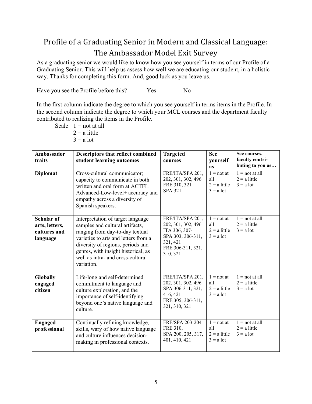## Profile of a Graduating Senior in Modern and Classical Language: The Ambassador Model Exit Survey

As a graduating senior we would like to know how you see yourself in terms of our Profile of a Graduating Senior. This will help us assess how well we are educating our student, in a holistic way. Thanks for completing this form. And, good luck as you leave us.

Have you see the Profile before this? Yes No

In the first column indicate the degree to which you see yourself in terms items in the Profile. In the second column indicate the degree to which your MCL courses and the department faculty contributed to realizing the items in the Profile.

Scale  $1 =$  not at all  $2 = a$  little  $3 = a$  lot

| Ambassador<br>traits                                     | <b>Descriptors that reflect combined</b><br>student learning outcomes                                                                                                                                                                                                          | <b>Targeted</b><br>courses                                                                                                | <b>See</b><br>yourself<br><b>as</b>                  | See courses,<br>faculty contri-<br>buting to you as |
|----------------------------------------------------------|--------------------------------------------------------------------------------------------------------------------------------------------------------------------------------------------------------------------------------------------------------------------------------|---------------------------------------------------------------------------------------------------------------------------|------------------------------------------------------|-----------------------------------------------------|
| <b>Diplomat</b>                                          | Cross-cultural communicator;<br>capacity to communicate in both<br>written and oral form at ACTFL<br>Advanced-Low-level+ accuracy and<br>empathy across a diversity of<br>Spanish speakers.                                                                                    | FRE/ITA/SPA 201,<br>202, 301, 302, 496<br>FRE 310, 321<br><b>SPA 321</b>                                                  | $1 = not at$<br>all<br>$2 = a$ little<br>$3 = a$ lot | $1 = not at all$<br>$2 = a$ little<br>$3 = a$ lot   |
| Scholar of<br>arts, letters,<br>cultures and<br>language | Interpretation of target language<br>samples and cultural artifacts,<br>ranging from day-to-day textual<br>varieties to arts and letters from a<br>diversity of regions, periods and<br>genres, with insight historical, as<br>well as intra- and cross-cultural<br>variation. | FRE/ITA/SPA 201,<br>202, 301, 302, 496<br>ITA 306, 307-<br>SPA 303, 306-311,<br>321, 421<br>FRE 306-311, 321,<br>310, 321 | $1 = not at$<br>all<br>$2 = a$ little<br>$3 = a$ lot | $1 = not at all$<br>$2 = a$ little<br>$3 = a$ lot   |
| Globally<br>engaged<br>citizen                           | Life-long and self-determined<br>commitment to language and<br>culture exploration, and the<br>importance of self-identifying<br>beyond one's native language and<br>culture.                                                                                                  | FRE/ITA/SPA 201,<br>202, 301, 302, 496<br>SPA 306-311, 321,<br>416, 421<br>FRE 305, 306-311,<br>321, 310, 321             | $1 = not at$<br>all<br>$2 = a$ little<br>$3 = a$ lot | $1 = not at all$<br>$2 = a$ little<br>$3 = a$ lot   |
| <b>Engaged</b><br>professional                           | Continually refining knowledge,<br>skills, wary of how native language<br>and culture influences decision-<br>making in professional contexts.                                                                                                                                 | FRE/SPA 203-204<br>FRE 310,<br>SPA 200, 205, 317,<br>401, 410, 421                                                        | $1 = not at$<br>all<br>$2 = a$ little<br>$3 = a$ lot | $1 = not at all$<br>$2 = a$ little<br>$3 = a$ lot   |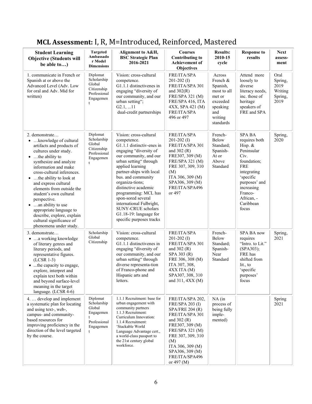| <b>Student Learning</b><br><b>Objective (Students will</b><br>be able to)                                                                                                                                                                                                                                                                                                                                                                                                     | <b>Targeted</b><br>Ambassado<br>r Model<br><b>Dimensions</b>                          | Alignment to A&H,<br><b>BSC Strategic Plan</b><br>2016-2021                                                                                                                                                                                                                                                                                                                                                             | <b>Courses</b><br><b>Contributing to</b><br>Achievement of<br><b>Objectives</b>                                                                                                                                                             | <b>Results:</b><br>2010-15<br>cycle                                                                            | <b>Response to</b><br>results                                                                                                                                                                          | <b>Next</b><br>assess-<br>ment                        |
|-------------------------------------------------------------------------------------------------------------------------------------------------------------------------------------------------------------------------------------------------------------------------------------------------------------------------------------------------------------------------------------------------------------------------------------------------------------------------------|---------------------------------------------------------------------------------------|-------------------------------------------------------------------------------------------------------------------------------------------------------------------------------------------------------------------------------------------------------------------------------------------------------------------------------------------------------------------------------------------------------------------------|---------------------------------------------------------------------------------------------------------------------------------------------------------------------------------------------------------------------------------------------|----------------------------------------------------------------------------------------------------------------|--------------------------------------------------------------------------------------------------------------------------------------------------------------------------------------------------------|-------------------------------------------------------|
| 1. communicate in French or<br>Spanish at or above the<br>Advanced Level (Adv. Low<br>for oral and Adv. Mid for<br>written)                                                                                                                                                                                                                                                                                                                                                   | Diplomat<br>Scholarship<br>Global<br>Citizenship<br>Professional<br>Engagemen<br>t    | Vision: cross-cultural<br>competence.<br>G1.1.1 distinctivenes in<br>engaging "diversity of<br>our community, and our<br>urban setting";<br>G2.1, 11<br>dual-credit partnerships                                                                                                                                                                                                                                        | FRE/ITA/SPA<br>$201-202$ (I)<br>FRE/ITA/SPA 301<br>and $302(R)$<br>FRE/SPA 321 (M)<br>FRE/SPA 416, ITA<br>4XX, SPA 421 (M)<br>FRE/ITA/SPA<br>496 or 497                                                                                     | Across<br>French &<br>Spanish,<br>most to all<br>met or<br>exceeded<br>speaking<br>and<br>writing<br>standards | Attend more<br>loosely to<br>diverse<br>literacy needs,<br>inc. those of<br>heritage<br>speakers of<br>FRE and SPA                                                                                     | Oral<br>Spring,<br>2019<br>Writing<br>Spring,<br>2019 |
| 2. demonstrate<br>•  knowledge of cultural<br>artifacts and products of<br>cultures under study.<br>$\bullet$ the ability to<br>synthesize and analyze<br>information and make<br>cross-cultural inferences.<br>• the ability to look at<br>and express cultural<br>elements from outside the<br>student's own cultural<br>perspective.<br>• an ability to use<br>appropriate language to<br>describe, explore, explain<br>cultural significance of<br>phenomena under study. | Diplomat<br>Scholarship<br>Global<br>Citizenship<br>Professional<br>Engagemen<br>t    | Vision: cross-cultural<br>competence.<br>G1.1.1 distinctiv-enes in<br>engaging "diversity of<br>our community, and our<br>urban setting" through<br>applied learning<br>partner-ships with local<br>bus. and community<br>organiza-tions;<br>distinctive academic<br>programming: MCL has<br>spon-sored several<br>international Fulbright,<br>SUNY-CRUE scholars<br>G1.18-19: language for<br>specific purposes tracks | FRE/ITA/SPA<br>$201-202$ (I)<br>FRE/ITA/SPA 301<br>and $302(R)$<br>FRE307, 309 (M)<br>FRE/SPA 321 (M)<br>FRE 307, 309, 310<br>(M)<br>ITA 306, 309 (M)<br>SPA306, 309 (M)<br>FRE/ITA/SPA496<br>or 497                                        | French-<br>Below<br>Standard;<br>Spanish-<br>At or<br>Above<br>Standard                                        | <b>SPA BA</b><br>requires both<br>Hisp. &<br>Peninsular<br>Civ.<br>foundation;<br><b>FRE</b><br>integrating<br>'specific<br>purposes' and<br>increasing<br>Franco-<br>African, -<br>Caribbean<br>focus | Spring,<br>2020                                       |
| 3. demonstrate<br>•  a working knowledge<br>of literary genres and<br>literary periods, and<br>representative figures.<br>$(LCSR 1-3)$<br>• the capacity to engage,<br>explore, interpret and<br>explain text both within<br>and beyond surface-level<br>meaning in the target<br>language. (LCSR 4-6)                                                                                                                                                                        | Scholarship<br>Global<br>Citizenship                                                  | Vision: cross-cultural<br>competence.<br>G1.1.1 distinctivenes in<br>engaging "diversity of<br>our community, and our<br>urban setting" through<br>diverse representa-tion<br>of Franco-phone and<br>Hispanic arts and<br>letters.                                                                                                                                                                                      | <b>FRE/ITA/SPA</b><br>$201-202$ (I)<br>FRE/ITA/SPA 301<br>and $302(R)$<br>SPA 303 (R)<br>FRE 306, 308 (M)<br>ITA 307, 308,<br>$4XX$ ITA $(M)$<br>SPA307, 308, 310<br>and $311, 4XX(M)$                                                      | French-<br>Below<br>Standard;<br>Spanish-<br>Near<br>Standard                                                  | SPA BA now<br>requires<br>"Intro. to Lit."<br>(SPA303);<br>FRE has<br>shifted from<br>lit., to<br>'specific<br>purposes'<br>focus                                                                      | Spring,<br>2021                                       |
| 4.  develop and implement<br>a systematic plan for locating<br>and using text-, web-,<br>campus- and community-<br>based resources for<br>improving proficiency in the<br>direction of the level targeted<br>by the course.                                                                                                                                                                                                                                                   | Diplomat<br>Scholarship<br>Global<br>Engagemen<br>t<br>Professional<br>Engagemen<br>t | 1.1.1 Recruitment: base for<br>urban engagement with<br>community partners<br>1.1.3 Recruitment:<br>Curriculum Innovation:<br>1.1.4 Recruitment:<br>'Stackable World<br>Language Advantage cert.,<br>a world-class passport to<br>the 21st century global<br>workforce.                                                                                                                                                 | FRE/ITA/SPA 202,<br><b>FRE/SPA 203 (I)</b><br>$SPA/PRE$ 204 (R)<br>FRE/ITA/SPA 301<br>and $302(R)$<br>FRE307, 309 (M)<br>FRE/SPA 321 (M)<br>FRE 307, 309, 310<br>(M)<br>ITA 306, 309 (M)<br>SPA306, 309 (M)<br>FRE/ITA/SPA496<br>or 497 (M) | $NA$ (in<br>process of<br>being fully<br>imple-<br>mented)                                                     |                                                                                                                                                                                                        | Spring<br>2021                                        |

## **MCL Assessment:** I, R, M=Introduced, Reinforced, Mastered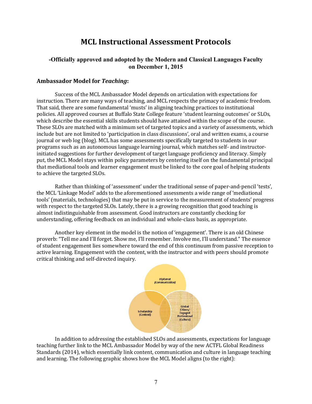### **MCL Instructional Assessment Protocols**

#### **-Officially approved and adopted by the Modern and Classical Languages Faculty on December 1, 2015**

#### **Ambassador Model for** *Teaching***:**

Success of the MCL Ambassador Model depends on articulation with expectations for instruction. There are many ways of teaching, and MCL respects the primacy of academic freedom. That said, there are some fundamental 'musts' in aligning teaching practices to institutional policies. All approved courses at Buffalo State College feature 'student learning outcomes' or SLOs, which describe the essential skills students should have attained within the scope of the course. These SLOs are matched with a minimum set of targeted topics and a variety of assessments, which include but are not limited to 'participation in class discussions', oral and written exams, a course journal or web log (blog). MCL has some assessments specifically targeted to students in our programs such as an autonomous language learning journal, which matches self- and instructorinitiated suggestions for further development of target language proficiency and literacy. Simply put, the MCL Model stays within policy parameters by centering itself on the fundamental principal that mediational tools and learner engagement must be linked to the core goal of helping students to achieve the targeted SLOs.

Rather than thinking of 'assessment' under the traditional sense of paper-and-pencil 'tests', the MCL 'Linkage Model' adds to the aforementioned assessments a wide range of 'mediational tools' (materials, technologies) that may be put in service to the measurement of students' progress with respect to the targeted SLOs. Lately, there is a growing recognition that good teaching is almost indistinguishable from assessment. Good instructors are constantly checking for understanding, offering feedback on an individual and whole-class basis, as appropriate.

Another key element in the model is the notion of 'engagement'. There is an old Chinese proverb: "Tell me and I'll forget. Show me, I'll remember. Involve me, I'll understand." The essence of student engagement lies somewhere toward the end of this continuum from passive reception to active learning. Engagement with the content, with the instructor and with peers should promote critical thinking and self-directed inquiry.



In addition to addressing the established SLOs and assessments, expectations for language teaching further link to the MCL Ambassador Model by way of the new ACTFL Global Readiness Standards (2014), which essentially link content, communication and culture in language teaching and learning. The following graphic shows how the MCL Model aligns (to the right):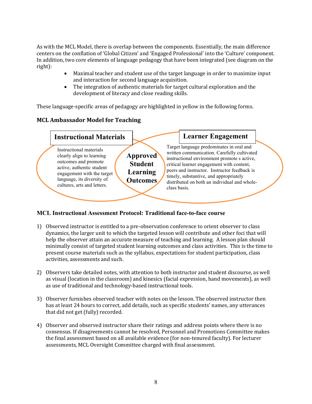As with the MCL Model, there is overlap between the components. Essentially, the main difference centers on the conflation of 'Global Citizen' and 'Engaged Professional' into the 'Culture' component. In addition, two core elements of language pedagogy that have been integrated (see diagram on the right):

- Maximal teacher and student use of the target language in order to maximize input and interaction for second language acquisition.
- The integration of authentic materials for target cultural exploration and the development of literacy and close reading skills.

These language-specific areas of pedagogy are highlighted in yellow in the following forms.

#### **MCL Ambassador Model for Teaching**

![](_page_8_Figure_5.jpeg)

#### **MCL Instructional Assessment Protocol: Traditional face-to-face course**

- 1) Observed instructor is entitled to a pre-observation conference to orient observer to class dynamics, the larger unit to which the targeted lesson will contribute and other foci that will help the observer attain an accurate measure of teaching and learning. A lesson plan should minimally consist of targeted student learning outcomes and class activities. This is the time to present course materials such as the syllabus, expectations for student participation, class activities, assessments and such.
- 2) Observers take detailed notes, with attention to both instructor and student discourse, as well as visual (location in the classroom) and kinesics (facial expression, hand movements), as well as use of traditional and technology-based instructional tools.
- 3) Observer furnishes observed teacher with notes on the lesson. The observed instructor then has at least 24 hours to correct, add details, such as specific students' names, any utterances that did not get (fully) recorded.
- 4) Observer and observed instructor share their ratings and address points where there is no consensus. If disagreements cannot be resolved, Personnel and Promotions Committee makes the final assessment based on all available evidence (for non-tenured faculty). For lecturer assessments, MCL Oversight Committee charged with final assessment.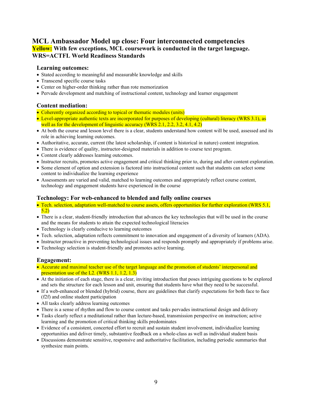#### **MCL Ambassador Model up close: Four interconnected competencies Yellow: With few exceptions, MCL coursework is conducted in the target language. WRS=ACTFL World Readiness Standards**

#### **Learning outcomes:**

- Stated according to meaningful and measurable knowledge and skills
- Transcend specific course tasks
- Center on higher-order thinking rather than rote memorization
- Pervade development and matching of instructional content, technology and learner engagement

#### **Content mediation:**

- Coherently organized according to topical or thematic modules (units)
- Level-appropriate authentic texts are incorporated for purposes of developing (cultural) literacy (WRS 3.1), as well as for the development of linguistic accuracy (WRS 2.1, 2.2, 3.2, 4.1, 4.2)
- At both the course and lesson level there is a clear, students understand how content will be used, assessed and its role in achieving learning outcomes.
- Authoritative, accurate, current (the latest scholarship, if content is historical in nature) content integration.
- There is evidence of quality, instructor-designed materials in addition to course text program.
- Content clearly addresses learning outcomes.
- Instructor recruits, promotes active engagement and critical thinking prior to, during and after content exploration.
- Some element of option and extension is factored into instructional content such that students can select some content to individualize the learning experience
- Assessments are varied and valid, matched to learning outcomes and appropriately reflect course content, technology and engagement students have experienced in the course

#### **Technology: For web-enhanced to blended and fully online courses**

- Tech. selection, adaptation well-matched to course assets, offers opportunities for further exploration (WRS 5.1, 5.2)
- There is a clear, student-friendly introduction that advances the key technologies that will be used in the course and the means for students to attain the expected technological literacies
- Technology is clearly conducive to learning outcomes
- Tech. selection, adaptation reflects commitment to innovation and engagement of a diversity of learners (ADA).
- Instructor proactive in preventing technological issues and responds promptly and appropriately if problems arise.
- Technology selection is student-friendly and promotes active learning.

#### **Engagement:**

- Accurate and maximal teacher use of the target language and the promotion of students' interpersonal and presentation use of the L2. (WRS 1.1, 1.2, 1.3)
- At the initiation of each stage, there is a clear, inviting introduction that poses intriguing questions to be explored and sets the structure for each lesson and unit, ensuring that students have what they need to be successful.
- If a web-enhanced or blended (hybrid) course, there are guidelines that clarify expectations for both face to face (f2f) and online student participation
- All tasks clearly address learning outcomes
- There is a sense of rhythm and flow to course content and tasks pervades instructional design and delivery
- Tasks clearly reflect a meditational rather than lecture-based, transmission perspective on instruction; active learning and the promotion of critical thinking skills predominates
- Evidence of a consistent, concerted effort to recruit and sustain student involvement, individualize learning opportunities and deliver timely, substantive feedback on a whole-class as well as individual student basis
- Discussions demonstrate sensitive, responsive and authoritative facilitation, including periodic summaries that synthesize main points.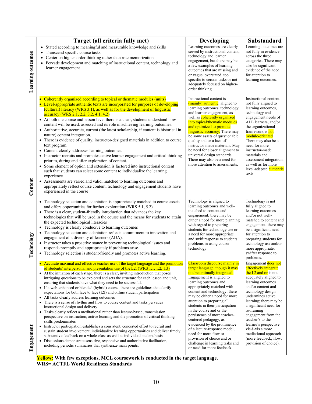|                   | Target (all criteria fully met)                                                                                                                                                                                                                                                                                                                                                                                                                                                                                                                                                                                                                                                                                                                                                                                                                                                                                                                                                                                                                                                                                                                                                                                                                                                                                                                                               | <b>Developing</b>                                                                                                                                                                                                                                                                                                                                                                                                                                                                                                                                                                                 | Substandard                                                                                                                                                                                                                                                                                                                                                                                                              |
|-------------------|-------------------------------------------------------------------------------------------------------------------------------------------------------------------------------------------------------------------------------------------------------------------------------------------------------------------------------------------------------------------------------------------------------------------------------------------------------------------------------------------------------------------------------------------------------------------------------------------------------------------------------------------------------------------------------------------------------------------------------------------------------------------------------------------------------------------------------------------------------------------------------------------------------------------------------------------------------------------------------------------------------------------------------------------------------------------------------------------------------------------------------------------------------------------------------------------------------------------------------------------------------------------------------------------------------------------------------------------------------------------------------|---------------------------------------------------------------------------------------------------------------------------------------------------------------------------------------------------------------------------------------------------------------------------------------------------------------------------------------------------------------------------------------------------------------------------------------------------------------------------------------------------------------------------------------------------------------------------------------------------|--------------------------------------------------------------------------------------------------------------------------------------------------------------------------------------------------------------------------------------------------------------------------------------------------------------------------------------------------------------------------------------------------------------------------|
| Learning outcomes | • Stated according to meaningful and measurable knowledge and skills<br>Transcend specific course tasks<br>Center on higher-order thinking rather than rote memorization<br>Pervade development and matching of instructional content, technology and<br>learner engagement                                                                                                                                                                                                                                                                                                                                                                                                                                                                                                                                                                                                                                                                                                                                                                                                                                                                                                                                                                                                                                                                                                   | Learning outcomes are clearly<br>served by instructional content,<br>technology and learner<br>engagement, but there may be<br>a few examples of learning<br>outcomes that are missing and<br>or vague, overstated, too<br>specific to certain tasks or not<br>adequately focused on higher-<br>order thinking.                                                                                                                                                                                                                                                                                   | Learning outcomes are<br>not fully in evidence<br>across the three<br>categories. There may<br>also be significant<br>evidence of the need<br>for attention to<br>learning outcomes.                                                                                                                                                                                                                                     |
| Content           | • Coherently organized according to topical or thematic modules (units)<br>• Level-appropriate authentic texts are incorporated for purposes of developing<br>(cultural) literacy (WRS 3.1), as well as for the development of linguistic<br>accuracy (WRS 2.1, 2.2, 3.2, 4.1, 4.2)<br>• At both the course and lesson level there is a clear, students understand how<br>content will be used, assessed and its role in achieving learning outcomes.<br>• Authoritative, accurate, current (the latest scholarship, if content is historical in<br>nature) content integration.<br>• There is evidence of quality, instructor-designed materials in addition to course<br>text program.<br>• Content clearly addresses learning outcomes.<br>• Instructor recruits and promotes active learner engagement and critical thinking<br>prior to, during and after exploration of content.<br>• Some element of option and extension is factored into instructional content<br>such that students can select some content to individualize the learning<br>experience<br>• Assessments are varied and valid, matched to learning outcomes and<br>appropriately reflect course content, technology and engagement students have<br>experienced in the course                                                                                                                       | Instructional content is<br>(mainly) authentic, aligned to<br>learning outcomes, technology<br>and learner engagement, as<br>well as <b>coherently organized</b><br>into topical/thematic modules<br>and optimized to promote<br>linguistic accuracy. There may<br>be some assets of questionable<br>quality and or a lack of<br>instructor-made materials. May<br>be need for closer alignment to<br>universal design standards.<br>There may also be a need for<br>more attention to assessments.                                                                                               | Instructional content<br>not fully aligned to<br>learning outcomes,<br>technology and<br>engagement needs of<br>ALL learners, and/or<br>the organizational<br>framework is not<br>module-oriented.<br>There may also be a<br>need for more<br>instructor-made<br>materials and<br>assessment integration,<br>as well as for more<br>level-adapted authentic<br>texts.                                                    |
| Technology        | • Technology selection and adaptation is appropriately matched to course assets<br>and offers opportunities for further exploration (WRS 5.1, 5.2)<br>• There is a clear, student-friendly introduction that advances the key<br>technologies that will be used in the course and the means for students to attain<br>the expected technological literacies<br>• Technology is clearly conducive to learning outcomes<br>Technology selection and adaptation reflects commitment to innovation and<br>engagement of a diversity of learners (ADA).<br>• Instructor takes a proactive stance in preventing technological issues and<br>responds promptly and appropriately if problems arise.<br>• Technology selection is student-friendly and promotes active learning.                                                                                                                                                                                                                                                                                                                                                                                                                                                                                                                                                                                                      | Technology is aligned to<br>learning outcomes and well-<br>matched to content and<br>engagement; there may be<br>either a need for more planning<br>with regard to preparing<br>students for technology use or<br>a need for more appropriate<br>and swift response to students'<br>problems in using course<br>technology.                                                                                                                                                                                                                                                                       | Technology is not<br>fully aligned to<br>learning outcomes<br>and/or not well-<br>matched to content and<br>engagement; there may<br>be a significant need<br>for attention to<br>preparing students for<br>technology use and/or<br>more appropriate,<br>swifter response to<br>problems.                                                                                                                               |
| Engagement        | • Accurate maximal and effective teacher use of the target language and the promotion<br>of students' interpersonal and presentation use of the L2. (WRS 1.1, 1.2, 1.3)<br>• At the initiation of each stage, there is a clear, inviting introduction that poses<br>intriguing questions to be explored and sets the structure for each lesson and unit,<br>ensuring that students have what they need to be successful.<br>• If a web-enhanced or blended (hybrid) course, there are guidelines that clarify<br>expectations for both face to face $(f2f)$ and online student participation<br>• All tasks clearly address learning outcomes<br>• There is a sense of rhythm and flow to course content and tasks pervades<br>instructional design and delivery<br>• Tasks clearly reflect a meditational rather than lecture-based, transmission<br>perspective on instruction; active learning and the promotion of critical thinking<br>skills predominates<br>• Instructor participation establishes a consistent, concerted effort to recruit and<br>sustain student involvement, individualize learning opportunities and deliver timely,<br>substantive feedback on a whole-class as well as individual student basis<br>• Discussions demonstrate sensitive, responsive and authoritative facilitation,<br>including periodic summaries that synthesize main points. | Classroom discourse mainly in<br>target language, though it may<br>not be optimally integrated.<br>Engagement is aligned to<br>learning outcomes and<br>appropriately matched with<br>content and technology; there<br>may be either a need for more<br>attention to preparing all<br>students in their participation<br>in the course and or the<br>persistence of more teacher-<br>centered pedagogy, as<br>evidenced by the prominence<br>of a lecture-response model,<br>need for more flow or<br>provision of choice and or<br>challenge in learning tasks and<br>or need for more feedback. | Engagement does not<br>effectively integrate<br>the $L2$ and or is not<br>adequately aligned to<br>learning outcomes<br>and/or content and<br>technology design<br>undermines active<br>learning; there may be<br>a significant need for<br>re-framing<br>engagement from the<br>teacher's to the<br>learner's perspective<br>vis-à-vis a more<br>mediational approach<br>(more feedback, flow,<br>provision of choice). |

**Yellow: With few exceptions, MCL coursework is conducted in the target language. WRS= ACTFL World Readiness Standards**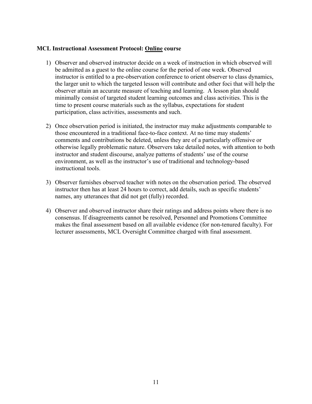#### **MCL Instructional Assessment Protocol: Online course**

- 1) Observer and observed instructor decide on a week of instruction in which observed will be admitted as a guest to the online course for the period of one week. Observed instructor is entitled to a pre-observation conference to orient observer to class dynamics, the larger unit to which the targeted lesson will contribute and other foci that will help the observer attain an accurate measure of teaching and learning. A lesson plan should minimally consist of targeted student learning outcomes and class activities. This is the time to present course materials such as the syllabus, expectations for student participation, class activities, assessments and such.
- 2) Once observation period is initiated, the instructor may make adjustments comparable to those encountered in a traditional face-to-face context. At no time may students' comments and contributions be deleted, unless they are of a particularly offensive or otherwise legally problematic nature. Observers take detailed notes, with attention to both instructor and student discourse, analyze patterns of students' use of the course environment, as well as the instructor's use of traditional and technology-based instructional tools.
- 3) Observer furnishes observed teacher with notes on the observation period. The observed instructor then has at least 24 hours to correct, add details, such as specific students' names, any utterances that did not get (fully) recorded.
- 4) Observer and observed instructor share their ratings and address points where there is no consensus. If disagreements cannot be resolved, Personnel and Promotions Committee makes the final assessment based on all available evidence (for non-tenured faculty). For lecturer assessments, MCL Oversight Committee charged with final assessment.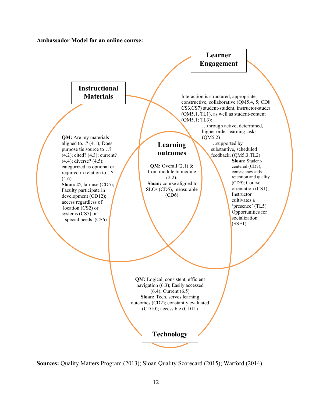![](_page_12_Figure_0.jpeg)

![](_page_12_Figure_1.jpeg)

![](_page_12_Figure_2.jpeg)

**Sources:** Quality Matters Program (2013); Sloan Quality Scorecard (2015); Warford (2014)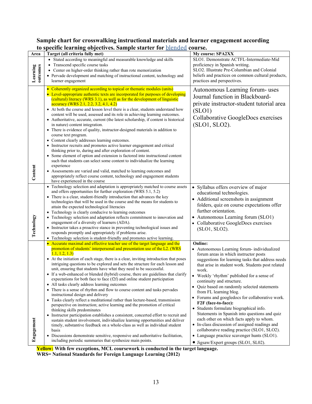#### **Sample chart for crosswalking instructional materials and learner engagement according to specific learning objectives. Sample starter for** blended **course.**

|                              | to specific icarining objectives. Sample starter for <u>bichucu</u> course.                                                                                                                                                                                                                                                                                                                                                                                                                                                                                                                                                                                                                                                                                                                                                                                                                                                                                                                                                                                                                                                                                                                                                                                                                                                                                                                       |                                                                                                                                                                                                                                                                                                                                                                                                                                                                                                                                                                                                                                                                                                                                                                                                     |
|------------------------------|---------------------------------------------------------------------------------------------------------------------------------------------------------------------------------------------------------------------------------------------------------------------------------------------------------------------------------------------------------------------------------------------------------------------------------------------------------------------------------------------------------------------------------------------------------------------------------------------------------------------------------------------------------------------------------------------------------------------------------------------------------------------------------------------------------------------------------------------------------------------------------------------------------------------------------------------------------------------------------------------------------------------------------------------------------------------------------------------------------------------------------------------------------------------------------------------------------------------------------------------------------------------------------------------------------------------------------------------------------------------------------------------------|-----------------------------------------------------------------------------------------------------------------------------------------------------------------------------------------------------------------------------------------------------------------------------------------------------------------------------------------------------------------------------------------------------------------------------------------------------------------------------------------------------------------------------------------------------------------------------------------------------------------------------------------------------------------------------------------------------------------------------------------------------------------------------------------------------|
| Area<br>Learning<br>outcomes | Target (all criteria fully met)<br>• Stated according to meaningful and measurable knowledge and skills<br>Transcend specific course tasks<br>$\bullet$<br>Center on higher-order thinking rather than rote memorization                                                                                                                                                                                                                                                                                                                                                                                                                                                                                                                                                                                                                                                                                                                                                                                                                                                                                                                                                                                                                                                                                                                                                                          | My course: SPA2XX<br>SLO1. Demonstrate ACTFL-Intermediate-Mid<br>proficiency in Spanish writing.<br>SLO2. Illustrate Pre-Columbian and Colonial                                                                                                                                                                                                                                                                                                                                                                                                                                                                                                                                                                                                                                                     |
|                              | • Pervade development and matching of instructional content, technology and<br>learner engagement                                                                                                                                                                                                                                                                                                                                                                                                                                                                                                                                                                                                                                                                                                                                                                                                                                                                                                                                                                                                                                                                                                                                                                                                                                                                                                 | beliefs and practices on common cultural products,<br>practices and perspectives.                                                                                                                                                                                                                                                                                                                                                                                                                                                                                                                                                                                                                                                                                                                   |
| Content                      | • Coherently organized according to topical or thematic modules (units)<br>• Level-appropriate authentic texts are incorporated for purposes of developing<br>(cultural) literacy (WRS 3.1), as well as for the development of linguistic<br>accuracy (WRS 2.1, 2.2, 3.2, 4.1, 4.2)<br>• At both the course and lesson level there is a clear, students understand how<br>content will be used, assessed and its role in achieving learning outcomes.<br>• Authoritative, accurate, current (the latest scholarship, if content is historical<br>in nature) content integration.<br>• There is evidence of quality, instructor-designed materials in addition to<br>course text program.<br>• Content clearly addresses learning outcomes.<br>• Instructor recruits and promotes active learner engagement and critical<br>thinking prior to, during and after exploration of content.<br>• Some element of option and extension is factored into instructional content<br>such that students can select some content to individualize the learning<br>experience<br>• Assessments are varied and valid, matched to learning outcomes and<br>appropriately reflect course content, technology and engagement students<br>have experienced in the course                                                                                                                                           | Autonomous Learning forum- uses<br>Journal function in Blackboard-<br>private instructor-student tutorial area<br>(SLO1)<br>Collaborative GoogleDocs exercises<br>(SLO1, SLO2).                                                                                                                                                                                                                                                                                                                                                                                                                                                                                                                                                                                                                     |
| Technology                   | • Technology selection and adaptation is appropriately matched to course assets<br>and offers opportunities for further exploration (WRS 5.1, 5.2)<br>• There is a clear, student-friendly introduction that advances the key<br>technologies that will be used in the course and the means for students to<br>attain the expected technological literacies<br>• Technology is clearly conducive to learning outcomes<br>• Technology selection and adaptation reflects commitment to innovation and<br>engagement of a diversity of learners (ADA).<br>• Instructor takes a proactive stance in preventing technological issues and<br>responds promptly and appropriately if problems arise.<br>• Technology selection is student-friendly and promotes active learning.                                                                                                                                                                                                                                                                                                                                                                                                                                                                                                                                                                                                                        | • Syllabus offers overview of major<br>educational technologies.<br>Additional screenshots in assignment<br>$\bullet$<br>folders, quiz on course expectations offer<br>further orientation.<br>• Autonomous Learning forum (SLO1)<br>Collaborative GoogleDocs exercises<br>(SLO1, SLO2).                                                                                                                                                                                                                                                                                                                                                                                                                                                                                                            |
| Engagement                   | • Accurate maximal and effective teacher use of the target language and the<br>promotion of students' interpersonal and presentation use of the L2. (WRS<br>1.1, 1.2, 1.3<br>• At the initiation of each stage, there is a clear, inviting introduction that poses<br>intriguing questions to be explored and sets the structure for each lesson and<br>unit, ensuring that students have what they need to be successful.<br>• If a web-enhanced or blended (hybrid) course, there are guidelines that clarify<br>expectations for both face to face $(f2f)$ and online student participation<br>• All tasks clearly address learning outcomes<br>• There is a sense of rhythm and flow to course content and tasks pervades<br>instructional design and delivery<br>• Tasks clearly reflect a meditational rather than lecture-based, transmission<br>perspective on instruction; active learning and the promotion of critical<br>thinking skills predominates<br>• Instructor participation establishes a consistent, concerted effort to recruit and<br>sustain student involvement, individualize learning opportunities and deliver<br>timely, substantive feedback on a whole-class as well as individual student<br>basis<br>• Discussions demonstrate sensitive, responsive and authoritative facilitation,<br>including periodic summaries that synthesize main points.<br>$\Pi^{n}$ . | <b>Online:</b><br>• Autonomous Learning forum- individualized<br>forum areas in which instructor posts<br>suggestions for learning tasks that address needs<br>that arise in student work. Students post related<br>work.<br>• Weekly 'rhythm' published for a sense of<br>continuity and structure.<br>Quiz based on randomly selected statements<br>$\bullet$<br>from FL learning blog.<br>• Forums and googledocs for collaborative work.<br>F2F (face-to-face):<br>• Students formulate biographical info.<br>Statements in Spanish into questions and quiz<br>each other on which facts apply to whom.<br>• In-class discussion of assigned readings and<br>collaboratve reading practice (SLO1, SLO2).<br>• Language practice scavenger hunts (SLO1).<br>• Jigsaw/Expert groups (SLO1, SL02). |

**Yellow: With few exceptions, MCL coursework is conducted in the target language. WRS= National Standards for Foreign Language Learning (2012)**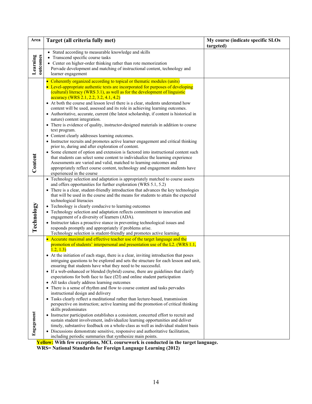| Area                 | Target (all criteria fully met)                                                                                                                                                                                                                                                                                                                                                                                                                                                                                                                                                                                                                                                                                                                                                                                                                                                                                                                                                                                                                                                                                                                                                                                                                                                                                                                                             | My course (indicate specific SLOs<br>targeted) |
|----------------------|-----------------------------------------------------------------------------------------------------------------------------------------------------------------------------------------------------------------------------------------------------------------------------------------------------------------------------------------------------------------------------------------------------------------------------------------------------------------------------------------------------------------------------------------------------------------------------------------------------------------------------------------------------------------------------------------------------------------------------------------------------------------------------------------------------------------------------------------------------------------------------------------------------------------------------------------------------------------------------------------------------------------------------------------------------------------------------------------------------------------------------------------------------------------------------------------------------------------------------------------------------------------------------------------------------------------------------------------------------------------------------|------------------------------------------------|
| Learning<br>outcomes | Stated according to measurable knowledge and skills<br>Transcend specific course tasks<br>• Center on higher-order thinking rather than rote memorization<br>Pervade development and matching of instructional content, technology and<br>learner engagement                                                                                                                                                                                                                                                                                                                                                                                                                                                                                                                                                                                                                                                                                                                                                                                                                                                                                                                                                                                                                                                                                                                |                                                |
| Content              | • Coherently organized according to topical or thematic modules (units)<br>• Level-appropriate authentic texts are incorporated for purposes of developing<br>(cultural) literacy (WRS 3.1), as well as for the development of linguistic<br>accuracy (WRS 2.1, 2.2, 3.2, 4.1, 4.2)<br>• At both the course and lesson level there is a clear, students understand how<br>content will be used, assessed and its role in achieving learning outcomes.<br>• Authoritative, accurate, current (the latest scholarship, if content is historical in<br>nature) content integration.<br>• There is evidence of quality, instructor-designed materials in addition to course<br>text program.<br>• Content clearly addresses learning outcomes.<br>• Instructor recruits and promotes active learner engagement and critical thinking<br>prior to, during and after exploration of content.<br>• Some element of option and extension is factored into instructional content such<br>that students can select some content to individualize the learning experience<br>Assessments are varied and valid, matched to learning outcomes and<br>appropriately reflect course content, technology and engagement students have                                                                                                                                                       |                                                |
| Technology           | experienced in the course<br>• Technology selection and adaptation is appropriately matched to course assets<br>and offers opportunities for further exploration (WRS 5.1, 5.2)<br>• There is a clear, student-friendly introduction that advances the key technologies<br>that will be used in the course and the means for students to attain the expected<br>technological literacies<br>• Technology is clearly conducive to learning outcomes<br>• Technology selection and adaptation reflects commitment to innovation and<br>engagement of a diversity of learners (ADA).<br>• Instructor takes a proactive stance in preventing technological issues and<br>responds promptly and appropriately if problems arise.<br>Technology selection is student-friendly and promotes active learning.                                                                                                                                                                                                                                                                                                                                                                                                                                                                                                                                                                       |                                                |
| Engagement           | • Accurate maximal and effective teacher use of the target language and the<br>promotion of students' interpersonal and presentation use of the L2. (WRS 1.1,<br>1.2, 1.3<br>• At the initiation of each stage, there is a clear, inviting introduction that poses<br>intriguing questions to be explored and sets the structure for each lesson and unit,<br>ensuring that students have what they need to be successful.<br>• If a web-enhanced or blended (hybrid) course, there are guidelines that clarify<br>expectations for both face to face (f2f) and online student participation<br>• All tasks clearly address learning outcomes<br>• There is a sense of rhythm and flow to course content and tasks pervades<br>instructional design and delivery<br>• Tasks clearly reflect a meditational rather than lecture-based, transmission<br>perspective on instruction; active learning and the promotion of critical thinking<br>skills predominates<br>Instructor participation establishes a consistent, concerted effort to recruit and<br>sustain student involvement, individualize learning opportunities and deliver<br>timely, substantive feedback on a whole-class as well as individual student basis<br>• Discussions demonstrate sensitive, responsive and authoritative facilitation,<br>including periodic summaries that synthesize main points. |                                                |

**Yellow: With few exceptions, MCL coursework is conducted in the target language.**

**WRS= National Standards for Foreign Language Learning (2012)**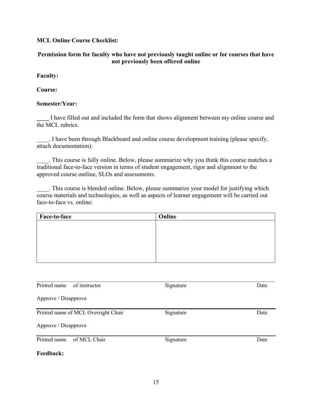#### **MCL Online Course Checklist:**

#### **Permission form for faculty who have not previously taught online or for courses that have not previously been offered online**

#### **Faculty:**

#### **Course:**

#### **Semester/Year:**

I have filled out and included the form that shows alignment between my online course and the MCL rubrics.

\_\_\_\_. I have been through Blackboard and online course development training (please specify, attach documentation):

\_\_\_\_. This course is fully online. Below, please summarize why you think this course matches a traditional face-to-face version in terms of student engagement, rigor and alignment to the approved course outline, SLOs and assessments.

\_\_\_\_. This course is blended online. Below, please summarize your model for justifying which course materials and technologies, as well as aspects of learner engagement will be carried out face-to-face vs. online:

| Online |
|--------|
|        |
|        |
|        |
|        |
|        |
|        |

| Printed name<br>of instructor       | Signature | Date |
|-------------------------------------|-----------|------|
| Approve / Disapprove                |           |      |
| Printed name of MCL Oversight Chair | Signature | Date |
| Approve / Disapprove                |           |      |
| Printed name<br>of MCL Chair        | Signature | Date |
| <b>Feedback:</b>                    |           |      |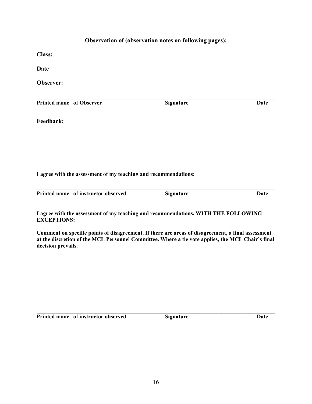#### **Observation of (observation notes on following pages):**

**Class:** 

**Date**

**Observer:**

**Printed name** of Observer **Signature Date** 

**\_\_\_\_\_\_\_\_\_\_\_\_\_\_\_\_\_\_\_\_\_\_\_\_\_\_\_\_\_\_\_\_\_\_\_\_\_\_\_\_\_\_\_\_\_\_\_\_\_\_\_\_\_\_\_\_\_\_\_\_\_\_\_\_\_\_\_\_\_\_\_\_\_\_\_\_\_\_\_\_\_\_\_\_\_**

**Feedback:**

**I agree with the assessment of my teaching and recommendations:**

| Printed name of instructor observed | <b>Signature</b> | Date |
|-------------------------------------|------------------|------|

**Printed instructions Date** 

**I agree with the assessment of my teaching and recommendations, WITH THE FOLLOWING EXCEPTIONS:**

**Comment on specific points of disagreement. If there are areas of disagreement, a final assessment at the discretion of the MCL Personnel Committee. Where a tie vote applies, the MCL Chair's final decision prevails.**

**Printed name** of instructor observed **Signature Signature Date** 

**\_\_\_\_\_\_\_\_\_\_\_\_\_\_\_\_\_\_\_\_\_\_\_\_\_\_\_\_\_\_\_\_\_\_\_\_\_\_\_\_\_\_\_\_\_\_\_\_\_\_\_\_\_\_\_\_\_\_\_\_\_\_\_\_\_\_\_\_\_\_\_\_\_\_\_\_\_\_\_\_\_\_\_\_\_**